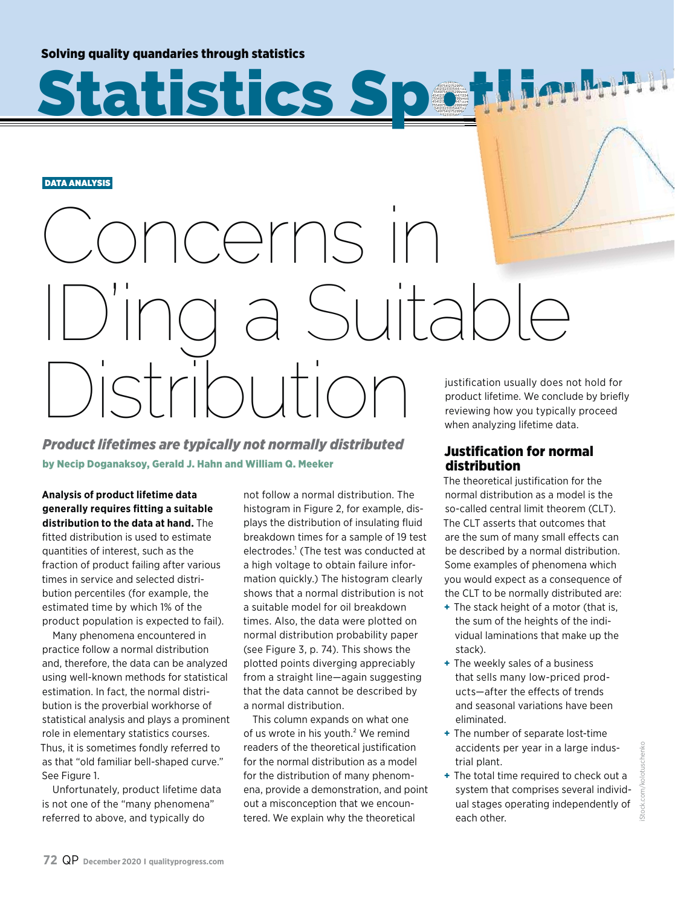Solving quality quandaries through statistics

DATA ANALYSIS

# oncerns II  $\int$ Ultable  $\Gamma\vert\bigcap\vert$

tistics Sochlimh

47554975412752999495 345412132313154471334 47554975412752999495 345412132313154471334 47554975412752999495 345412132313154471334 47554975412752999495 345412132313154471334 47554975412752999495 313154471

99<br>7133<br>9949<br>71334<br>71334<br>9949<br>7133

*Product lifetimes are typically not normally distributed* by Necip Doganaksoy, Gerald J. Hahn and William Q. Meeker

**Analysis of product lifetime data generally requires fitting a suitable distribution to the data at hand.** The fitted distribution is used to estimate quantities of interest, such as the fraction of product failing after various times in service and selected distribution percentiles (for example, the estimated time by which 1% of the product population is expected to fail).

Many phenomena encountered in practice follow a normal distribution and, therefore, the data can be analyzed using well-known methods for statistical estimation. In fact, the normal distribution is the proverbial workhorse of statistical analysis and plays a prominent role in elementary statistics courses. Thus, it is sometimes fondly referred to as that "old familiar bell-shaped curve." See Figure 1.

Unfortunately, product lifetime data is not one of the "many phenomena" referred to above, and typically do

not follow a normal distribution. The histogram in Figure 2, for example, displays the distribution of insulating fluid breakdown times for a sample of 19 test electrodes.<sup>1</sup> (The test was conducted at a high voltage to obtain failure information quickly.) The histogram clearly shows that a normal distribution is not a suitable model for oil breakdown times. Also, the data were plotted on normal distribution probability paper (see Figure 3, p. 74). This shows the plotted points diverging appreciably from a straight line—again suggesting that the data cannot be described by a normal distribution.

This column expands on what one of us wrote in his youth.<sup>2</sup> We remind readers of the theoretical justification for the normal distribution as a model for the distribution of many phenomena, provide a demonstration, and point out a misconception that we encountered. We explain why the theoretical

justification usually does not hold for product lifetime. We conclude by briefly reviewing how you typically proceed when analyzing lifetime data.

### Justification for normal distribution

The theoretical justification for the normal distribution as a model is the so-called central limit theorem (CLT). The CLT asserts that outcomes that are the sum of many small effects can be described by a normal distribution. Some examples of phenomena which you would expect as a consequence of the CLT to be normally distributed are:

- **+** The stack height of a motor (that is, the sum of the heights of the individual laminations that make up the stack).
- **+** The weekly sales of a business that sells many low-priced products—after the effects of trends and seasonal variations have been eliminated.
- **+** The number of separate lost-time accidents per year in a large industrial plant.
- **+** The total time required to check out a system that comprises several individual stages operating independently of each other.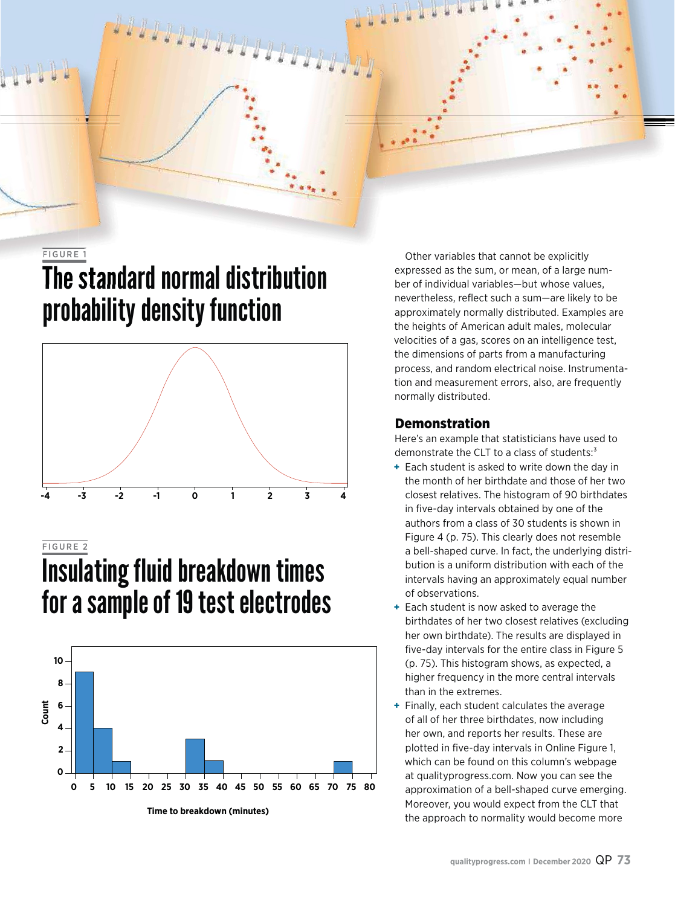#### FIGURE 1

### The standard normal distribution probability density function



### FIGURE 2

### Insulating fluid breakdown times for a sample of 19 test electrodes



Other variables that cannot be explicitly expressed as the sum, or mean, of a large number of individual variables—but whose values, nevertheless, reflect such a sum—are likely to be approximately normally distributed. Examples are the heights of American adult males, molecular velocities of a gas, scores on an intelligence test, the dimensions of parts from a manufacturing process, and random electrical noise. Instrumentation and measurement errors, also, are frequently normally distributed.

#### Demonstration

Here's an example that statisticians have used to demonstrate the CLT to a class of students:<sup>3</sup>

- **+** Each student is asked to write down the day in the month of her birthdate and those of her two closest relatives. The histogram of 90 birthdates in five-day intervals obtained by one of the authors from a class of 30 students is shown in Figure 4 (p. 75). This clearly does not resemble a bell-shaped curve. In fact, the underlying distribution is a uniform distribution with each of the intervals having an approximately equal number of observations.
- **+** Each student is now asked to average the birthdates of her two closest relatives (excluding her own birthdate). The results are displayed in five-day intervals for the entire class in Figure 5 (p. 75). This histogram shows, as expected, a higher frequency in the more central intervals than in the extremes.
- **+** Finally, each student calculates the average of all of her three birthdates, now including her own, and reports her results. These are plotted in five-day intervals in Online Figure 1, which can be found on this column's webpage at qualityprogress.com. Now you can see the approximation of a bell-shaped curve emerging. Moreover, you would expect from the CLT that the approach to normality would become more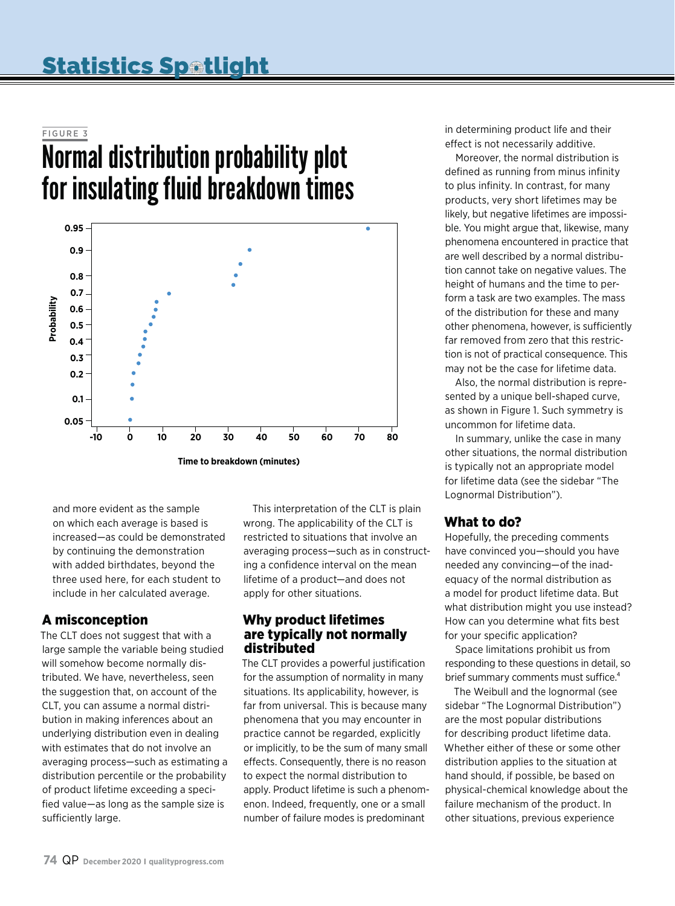#### FIGURE 3

### Normal distribution probability plot for insulating fluid breakdown times



and more evident as the sample on which each average is based is increased—as could be demonstrated by continuing the demonstration with added birthdates, beyond the three used here, for each student to include in her calculated average.

### A misconception

The CLT does not suggest that with a large sample the variable being studied will somehow become normally distributed. We have, nevertheless, seen the suggestion that, on account of the CLT, you can assume a normal distribution in making inferences about an underlying distribution even in dealing with estimates that do not involve an averaging process—such as estimating a distribution percentile or the probability of product lifetime exceeding a specified value—as long as the sample size is sufficiently large.

This interpretation of the CLT is plain wrong. The applicability of the CLT is restricted to situations that involve an averaging process—such as in constructing a confidence interval on the mean lifetime of a product—and does not apply for other situations.

### Why product lifetimes are typically not normally distributed

The CLT provides a powerful justification for the assumption of normality in many situations. Its applicability, however, is far from universal. This is because many phenomena that you may encounter in practice cannot be regarded, explicitly or implicitly, to be the sum of many small effects. Consequently, there is no reason to expect the normal distribution to apply. Product lifetime is such a phenomenon. Indeed, frequently, one or a small number of failure modes is predominant

in determining product life and their effect is not necessarily additive.

Moreover, the normal distribution is defined as running from minus infinity to plus infinity. In contrast, for many products, very short lifetimes may be likely, but negative lifetimes are impossible. You might argue that, likewise, many phenomena encountered in practice that are well described by a normal distribution cannot take on negative values. The height of humans and the time to perform a task are two examples. The mass of the distribution for these and many other phenomena, however, is sufficiently far removed from zero that this restriction is not of practical consequence. This may not be the case for lifetime data.

Also, the normal distribution is represented by a unique bell-shaped curve, as shown in Figure 1. Such symmetry is uncommon for lifetime data.

In summary, unlike the case in many other situations, the normal distribution is typically not an appropriate model for lifetime data (see the sidebar "The Lognormal Distribution").

### What to do?

Hopefully, the preceding comments have convinced you—should you have needed any convincing—of the inadequacy of the normal distribution as a model for product lifetime data. But what distribution might you use instead? How can you determine what fits best for your specific application?

Space limitations prohibit us from responding to these questions in detail, so brief summary comments must suffice.<sup>4</sup>

The Weibull and the lognormal (see sidebar "The Lognormal Distribution") are the most popular distributions for describing product lifetime data. Whether either of these or some other distribution applies to the situation at hand should, if possible, be based on physical-chemical knowledge about the failure mechanism of the product. In other situations, previous experience